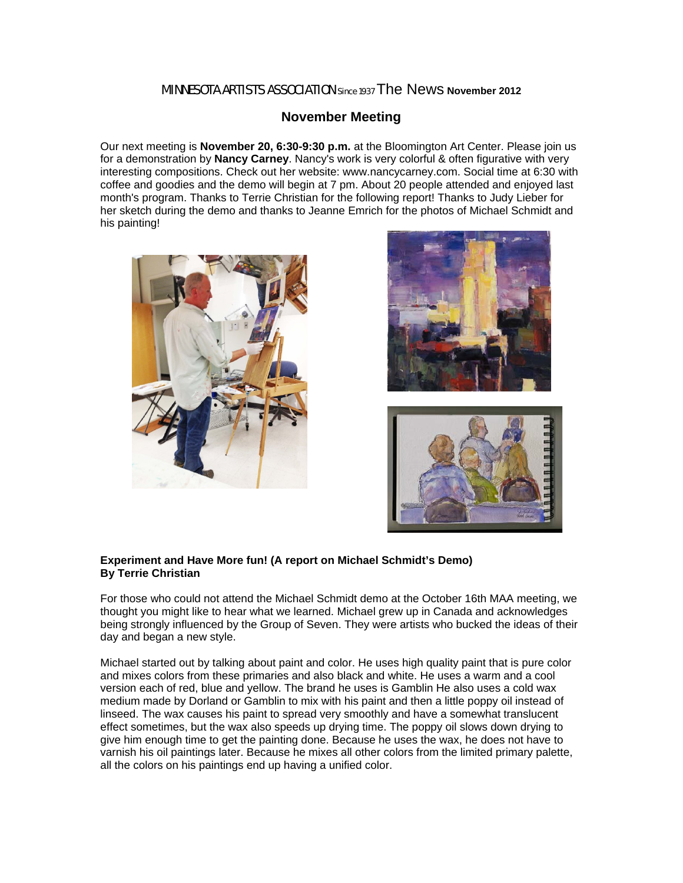## MINNESOTA ARTISTS ASSOCIATION Since 1937 The News **November 2012**

## **November Meeting**

Our next meeting is **November 20, 6:30-9:30 p.m.** at the Bloomington Art Center. Please join us for a demonstration by **Nancy Carney**. Nancy's work is very colorful & often figurative with very interesting compositions. Check out her website: www.nancycarney.com. Social time at 6:30 with coffee and goodies and the demo will begin at 7 pm. About 20 people attended and enjoyed last month's program. Thanks to Terrie Christian for the following report! Thanks to Judy Lieber for her sketch during the demo and thanks to Jeanne Emrich for the photos of Michael Schmidt and his painting!







## **Experiment and Have More fun! (A report on Michael Schmidt's Demo) By Terrie Christian**

For those who could not attend the Michael Schmidt demo at the October 16th MAA meeting, we thought you might like to hear what we learned. Michael grew up in Canada and acknowledges being strongly influenced by the Group of Seven. They were artists who bucked the ideas of their day and began a new style.

Michael started out by talking about paint and color. He uses high quality paint that is pure color and mixes colors from these primaries and also black and white. He uses a warm and a cool version each of red, blue and yellow. The brand he uses is Gamblin He also uses a cold wax medium made by Dorland or Gamblin to mix with his paint and then a little poppy oil instead of linseed. The wax causes his paint to spread very smoothly and have a somewhat translucent effect sometimes, but the wax also speeds up drying time. The poppy oil slows down drying to give him enough time to get the painting done. Because he uses the wax, he does not have to varnish his oil paintings later. Because he mixes all other colors from the limited primary palette, all the colors on his paintings end up having a unified color.